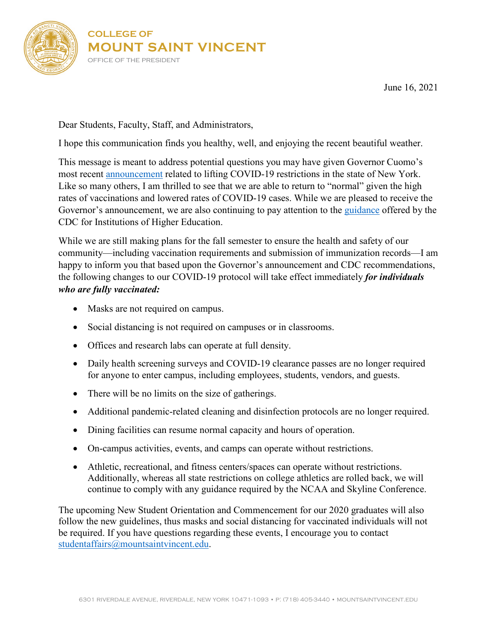

June 16, 2021

Dear Students, Faculty, Staff, and Administrators,

I hope this communication finds you healthy, well, and enjoying the recent beautiful weather.

This message is meant to address potential questions you may have given Governor Cuomo's most recent [announcement](https://www.governor.ny.gov/news/governor-cuomo-announces-covid-19-restrictions-lifted-70-adult-new-yorkers-have-received-first) related to lifting COVID-19 restrictions in the state of New York. Like so many others, I am thrilled to see that we are able to return to "normal" given the high rates of vaccinations and lowered rates of COVID-19 cases. While we are pleased to receive the Governor's announcement, we are also continuing to pay attention to the [guidance](https://www.cdc.gov/coronavirus/2019-ncov/community/colleges-universities/considerations.html) offered by the CDC for Institutions of Higher Education.

While we are still making plans for the fall semester to ensure the health and safety of our community—including vaccination requirements and submission of immunization records—I am happy to inform you that based upon the Governor's announcement and CDC recommendations, the following changes to our COVID-19 protocol will take effect immediately *for individuals who are fully vaccinated:*

- Masks are not required on campus.
- Social distancing is not required on campuses or in classrooms.
- Offices and research labs can operate at full density.
- Daily health screening surveys and COVID-19 clearance passes are no longer required for anyone to enter campus, including employees, students, vendors, and guests.
- There will be no limits on the size of gatherings.
- Additional pandemic-related cleaning and disinfection protocols are no longer required.
- Dining facilities can resume normal capacity and hours of operation.
- On-campus activities, events, and camps can operate without restrictions.
- Athletic, recreational, and fitness centers/spaces can operate without restrictions. Additionally, whereas all state restrictions on college athletics are rolled back, we will continue to comply with any guidance required by the NCAA and Skyline Conference.

The upcoming New Student Orientation and Commencement for our 2020 graduates will also follow the new guidelines, thus masks and social distancing for vaccinated individuals will not be required. If you have questions regarding these events, I encourage you to contact [studentaffairs@mountsaintvincent.edu.](mailto:studentaffairs@mountsaintvincent.edu)